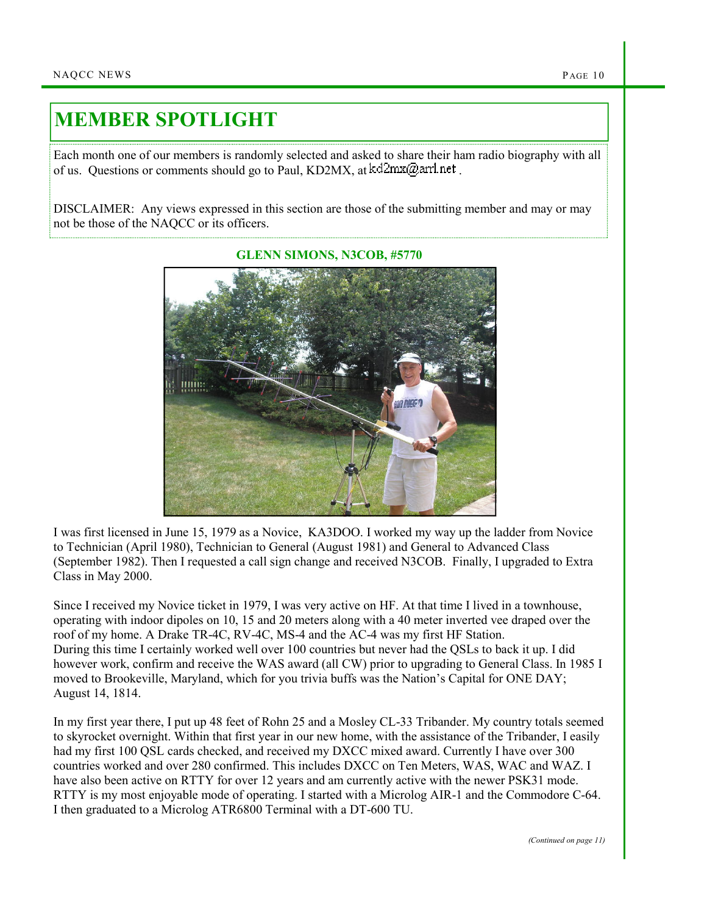## MEMBER SPOTLIGHT

Each month one of our members is randomly selected and asked to share their ham radio biography with all of us. Questions or comments should go to Paul, KD2MX, at  $kd2mx@ar1net$ .

DISCLAIMER: Any views expressed in this section are those of the submitting member and may or may not be those of the NAQCC or its officers.



GLENN SIMONS, N3COB, #5770

I was first licensed in June 15, 1979 as a Novice, KA3DOO. I worked my way up the ladder from Novice to Technician (April 1980), Technician to General (August 1981) and General to Advanced Class (September 1982). Then I requested a call sign change and received N3COB. Finally, I upgraded to Extra Class in May 2000.

Since I received my Novice ticket in 1979, I was very active on HF. At that time I lived in a townhouse, operating with indoor dipoles on 10, 15 and 20 meters along with a 40 meter inverted vee draped over the roof of my home. A Drake TR-4C, RV-4C, MS-4 and the AC-4 was my first HF Station. During this time I certainly worked well over 100 countries but never had the QSLs to back it up. I did however work, confirm and receive the WAS award (all CW) prior to upgrading to General Class. In 1985 I moved to Brookeville, Maryland, which for you trivia buffs was the Nation's Capital for ONE DAY; August 14, 1814.

In my first year there, I put up 48 feet of Rohn 25 and a Mosley CL-33 Tribander. My country totals seemed to skyrocket overnight. Within that first year in our new home, with the assistance of the Tribander, I easily had my first 100 QSL cards checked, and received my DXCC mixed award. Currently I have over 300 countries worked and over 280 confirmed. This includes DXCC on Ten Meters, WAS, WAC and WAZ. I have also been active on RTTY for over 12 years and am currently active with the newer PSK31 mode. RTTY is my most enjoyable mode of operating. I started with a Microlog AIR-1 and the Commodore C-64. I then graduated to a Microlog ATR6800 Terminal with a DT-600 TU.